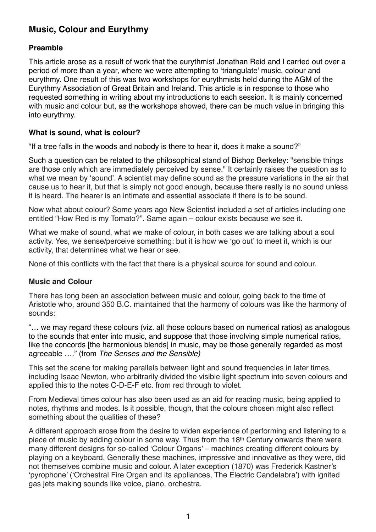# **Music, Colour and Eurythmy**

## **Preamble**

This article arose as a result of work that the eurythmist Jonathan Reid and I carried out over a period of more than a year, where we were attempting to 'triangulate' music, colour and eurythmy. One result of this was two workshops for eurythmists held during the AGM of the Eurythmy Association of Great Britain and Ireland. This article is in response to those who requested something in writing about my introductions to each session. It is mainly concerned with music and colour but, as the workshops showed, there can be much value in bringing this into eurythmy.

## **What is sound, what is colour?**

"If a tree falls in the woods and nobody is there to hear it, does it make a sound?"

Such a question can be related to the philosophical stand of Bishop Berkeley: "sensible things are those only which are immediately perceived by sense." It certainly raises the question as to what we mean by 'sound'. A scientist may define sound as the pressure variations in the air that cause us to hear it, but that is simply not good enough, because there really is no sound unless it is heard. The hearer is an intimate and essential associate if there is to be sound.

Now what about colour? Some years ago New Scientist included a set of articles including one entitled "How Red is my Tomato?". Same again – colour exists because we see it.

What we make of sound, what we make of colour, in both cases we are talking about a soul activity. Yes, we sense/perceive something: but it is how we 'go out' to meet it, which is our activity, that determines what we hear or see.

None of this conflicts with the fact that there is a physical source for sound and colour.

## **Music and Colour**

There has long been an association between music and colour, going back to the time of Aristotle who, around 350 B.C. maintained that the harmony of colours was like the harmony of sounds:

"… we may regard these colours (viz. all those colours based on numerical ratios) as analogous to the sounds that enter into music, and suppose that those involving simple numerical ratios, like the concords [the harmonious blends] in music, may be those generally regarded as most agreeable …." (from *The Senses and the Sensible)*

This set the scene for making parallels between light and sound frequencies in later times, including Isaac Newton, who arbitrarily divided the visible light spectrum into seven colours and applied this to the notes C-D-E-F etc. from red through to violet.

From Medieval times colour has also been used as an aid for reading music, being applied to notes, rhythms and modes. Is it possible, though, that the colours chosen might also reflect something about the qualities of these?

A different approach arose from the desire to widen experience of performing and listening to a piece of music by adding colour in some way. Thus from the 18th Century onwards there were many different designs for so-called 'Colour Organs' – machines creating different colours by playing on a keyboard. Generally these machines, impressive and innovative as they were, did not themselves combine music and colour. A later exception (1870) was Frederick Kastner's 'pyrophone' ('Orchestral Fire Organ and its appliances, The Electric Candelabra') with ignited gas jets making sounds like voice, piano, orchestra.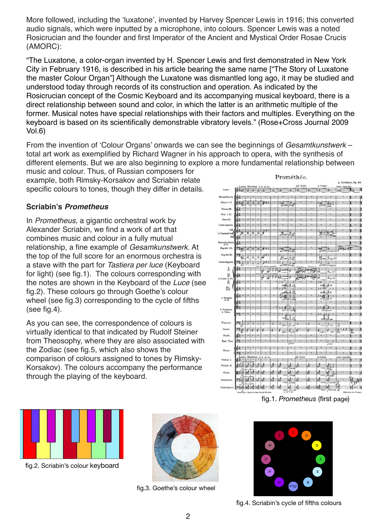More followed, including the 'luxatone', invented by Harvey Spencer Lewis in 1916; this converted audio signals, which were inputted by a microphone, into colours. Spencer Lewis was a noted Rosicrucian and the founder and first Imperator of the Ancient and Mystical Order Rosae Crucis (AMORC):

"The Luxatone, a color-organ invented by H. Spencer Lewis and first demonstrated in New York City in February 1916, is described in his article bearing the same name ["The Story of Luxatone the master Colour Organ"] Although the Luxatone was dismantled long ago, it may be studied and understood today through records of its construction and operation. As indicated by the Rosicrucian concept of the Cosmic Keyboard and its accompanying musical keyboard, there is a direct relationship between sound and color, in which the latter is an arithmetic multiple of the former. Musical notes have special relationships with their factors and multiples. Everything on the keyboard is based on its scientifically demonstrable vibratory levels." (Rose+Cross Journal 2009 Vol.6)

From the invention of 'Colour Organs' onwards we can see the beginnings of *Gesamtkunstwerk* – total art work as exemplified by Richard Wagner in his approach to opera, with the synthesis of different elements. But we are also beginning to explore a more fundamental relationship between

music and colour. Thus, of Russian composers for example, both Rimsky-Korsakov and Scriabin relate specific colours to tones, though they differ in details.

### **Scriabin's** *Prometheus*

In *Prometheus,* a gigantic orchestral work by Alexander Scriabin, we find a work of art that combines music and colour in a fully mutual relationship, a fine example of *Gesamkunstwerk*. At the top of the full score for an enormous orchestra is a stave with the part for *Tastiera per luce* (Keyboard for light) (see fig.1). The colours corresponding with the notes are shown in the Keyboard of the *Luce* (see fig.2). These colours go through Goethe's colour wheel (see fig.3) corresponding to the cycle of fifths (see fig.4).

As you can see, the correspondence of colours is virtually identical to that indicated by Rudolf Steiner from Theosophy, where they are also associated with the Zodiac (see fig.5, which also shows the comparison of colours assigned to tones by Rimsky-Korsakov). The colours accompany the performance through the playing of the keyboard.

|                                                                                  |                     |                 |    |               |                           |    |                                |                       | Promethee. |   |                               |                             |                 |                       |
|----------------------------------------------------------------------------------|---------------------|-----------------|----|---------------|---------------------------|----|--------------------------------|-----------------------|------------|---|-------------------------------|-----------------------------|-----------------|-----------------------|
|                                                                                  |                     |                 |    |               | Lento. Brumeux. M.M.  co. |    |                                |                       | più lento  |   | a tempo                       |                             | avec mystero    | A. Scriabine, Op. 60. |
| Luce.                                                                            | $61.7 + 8.8$        |                 |    |               |                           |    |                                |                       |            |   |                               |                             | $\mathbb{R}$    | T.                    |
| lauto Piecolo.                                                                   |                     |                 |    |               |                           |    |                                |                       |            |   |                               |                             |                 |                       |
| Flauti I.II.                                                                     |                     |                 |    |               | Ħ                         |    | T <sub>E</sub><br>$pp\,$       |                       |            |   | 垣<br>m                        | 農<br>yn.                    |                 |                       |
| Flauto III.                                                                      |                     |                 |    |               |                           |    |                                |                       |            |   |                               |                             |                 |                       |
| Oboi I.II.                                                                       |                     |                 |    |               |                           |    |                                |                       |            |   |                               |                             |                 |                       |
| Oboe III.                                                                        |                     |                 |    |               |                           |    |                                |                       |            |   |                               |                             |                 |                       |
| orno inglese.                                                                    |                     |                 |    |               |                           |    |                                |                       |            |   |                               |                             |                 |                       |
| LI<br>Clarinetti in B.                                                           | вŵ                  |                 | 鄞  | 獣             |                           |    | ł<br>쳦<br>pp                   | 茅<br>高楼               |            |   | <b>「gin</b><br>vì             | dim                         |                 |                       |
| Ш.                                                                               |                     |                 |    |               |                           |    |                                |                       |            |   |                               | i pa                        |                 |                       |
| arinetto Basso.<br>in B.                                                         |                     |                 |    |               |                           |    |                                |                       |            |   |                               |                             |                 |                       |
| Fagotti I.II.                                                                    | P1                  |                 |    |               | 53.7                      |    | 标<br>ppc                       |                       |            |   | $I_{12}$<br>vi                | 砲<br><b>Filing PPP</b>      | file.           |                       |
| Fagotto III.                                                                     |                     |                 |    |               | h <sup>+1</sup>           |    | Ŧ<br>陆                         | Ş,                    |            |   | ×<br>琼                        |                             |                 |                       |
| ntrafagotto.                                                                     | 玛                   |                 |    |               | M11                       |    | Ŧ                              | c.                    |            |   | 1                             | $T_{\text{max}}$ m          |                 |                       |
| I.                                                                               |                     |                 |    |               |                           |    | ppe                            | $T$ dist $>$          |            |   | ppi                           | <b>J distribution</b>       |                 |                       |
|                                                                                  |                     |                 |    |               | ø                         |    |                                |                       |            |   |                               |                             |                 |                       |
| $\begin{array}{c}\n\text{III.} \\ \text{IV.} \\ \text{Corni in F.}\n\end{array}$ |                     |                 |    |               | ß                         |    |                                |                       |            |   |                               |                             |                 |                       |
| Vi.                                                                              |                     |                 |    |               |                           |    | 11<br>以来                       | Ŧ<br>$\frac{1}{2}$    |            |   | 11<br>pp for                  | $\mathbf{r}$<br>٠<br>$+$ pp |                 |                       |
| VII.                                                                             |                     |                 |    |               |                           | ÷4 | $11$ vill                      | ł                     |            |   | $11$ VIII                     | 11                          |                 |                       |
| $\begin{array}{c}\n5 \text{ Trombe} \\ \text{in } B.\n\end{array}$               |                     |                 |    |               |                           |    | $10^{17}$<br>開唱<br>$_{\mu\nu}$ | 沼<br>Ì,<br>relin      |            |   | 印记<br>11.37111<br>$p_{\rm F}$ | .pp<br>$\mathcal{F}_n$ PP   |                 |                       |
|                                                                                  |                     |                 |    |               |                           |    |                                |                       |            |   |                               |                             |                 |                       |
| Tromboni<br>e Tuba.                                                              | 据す                  |                 |    |               |                           |    | 11.4<br>m                      | $\sim$ dia            |            |   | $11 + 11$                     | $PPer's F \rightarrow F F$  |                 |                       |
|                                                                                  | 93                  |                 |    |               |                           |    | Ŧ<br>$\frac{1}{2}$             | x                     |            |   | $\mathbf{H}$                  | 北                           |                 |                       |
| Timpani.                                                                         |                     |                 |    |               |                           |    | 叹                              | $\overset{+}{\oplus}$ |            |   |                               |                             |                 |                       |
| Cassa.                                                                           |                     |                 |    |               |                           |    |                                |                       |            |   |                               | æ.                          | PP1<br>0.11     |                       |
|                                                                                  |                     |                 |    |               |                           |    |                                | $\rightarrow$         |            |   |                               |                             | ù.              | 鵟                     |
| Piatti.                                                                          |                     |                 |    |               |                           |    |                                |                       |            |   |                               |                             |                 |                       |
| Tam - Tam.                                                                       |                     |                 |    |               |                           |    |                                |                       |            |   |                               |                             |                 |                       |
| Piano.                                                                           | 9                   |                 |    |               |                           |    |                                |                       |            |   |                               |                             |                 |                       |
| Violino I.                                                                       |                     | Lento. Brumeux. |    | ×             | 1.88<br>$\mathbf{x}$      |    |                                |                       | più lento  |   | a tempo                       |                             | mystère<br>avec |                       |
| Violino II.                                                                      |                     | 냁               | ø  | 唜             |                           | 긝  |                                | 뻃                     | 禹          |   | ø                             | IJ                          |                 |                       |
| Viola.                                                                           | BIH                 | 趌               | 14 | п             |                           | ø  | T.                             | $1 - 1$<br>ń<br>n     | ¢          | п | ᆆ                             | w<br>zł.<br>÷.              |                 |                       |
| Violoncello,                                                                     | グリは                 | 建議              |    | $\frac{1}{2}$ |                           |    | 닠                              | 냁<br>n                | 긇          |   | 긇                             | ı.<br>J                     |                 |                       |
| Contrabasso.                                                                     | $\frac{R}{4}$<br>ツー | is b<br>ı       |    |               |                           |    |                                | d<br>C.               | d          |   |                               | ٠                           |                 |                       |
|                                                                                  |                     |                 |    |               |                           |    |                                |                       |            |   |                               |                             |                 |                       |

fig.1. *Prometheus* (first page)



fig.2. Scriabin's colour keyboard



fig.3. Goethe's colour wheel



fig.4. Scriabin's cycle of fifths colours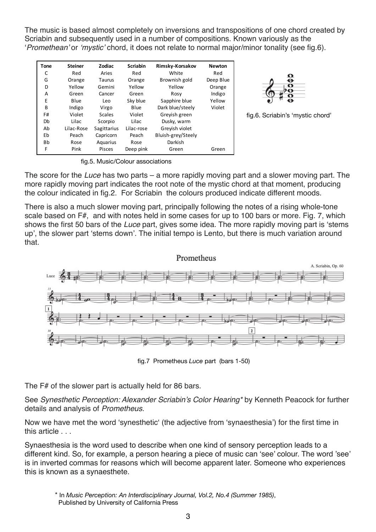The music is based almost completely on inversions and transpositions of one chord created by Scriabin and subsequently used in a number of compositions. Known variously as the '*Promethean'* or *'mystic'* chord, it does not relate to normal major/minor tonality (see fig.6).

| <b>Tone</b>  | <b>Steiner</b> | Zodiac        | <b>Scriabin</b> | Rimsky-Korsakov    | <b>Newton</b> |
|--------------|----------------|---------------|-----------------|--------------------|---------------|
| C            | Red            | Aries         | Red             | White              | Red           |
| G            | Orange         | Taurus        | Orange          | Brownish gold      | Deep Blue     |
| D            | Yellow         | Gemini        | Yellow          | Yellow             | Orange        |
| А            | Green          | Cancer        | Green           | Rosy               | Indigo        |
| Ε            | Blue           | Leo           | Sky blue        | Sapphire blue      | Yellow        |
| <sub>B</sub> | Indigo         | Virgo         | Blue            | Dark blue/steely   | Violet        |
| F#           | Violet         | <b>Scales</b> | Violet          | Grevish green      |               |
| Db           | Lilac          | Scorpio       | Lilac           | Dusky, warm        |               |
| Ab           | Lilac-Rose     | Sagittarius   | Lilac-rose      | Grevish violet     |               |
| Eb           | Peach          | Capricorn     | Peach           | Bluish-grey/Steely |               |
| Bb           | Rose           | Aquarius      | Rose            | Darkish            |               |
| F            | Pink           | Pisces        | Deep pink       | Green              | Green         |



fig.6. Scriabin's 'mystic chord'

fig.5. Music/Colour associations

The score for the *Luce* has two parts – a more rapidly moving part and a slower moving part. The more rapidly moving part indicates the root note of the mystic chord at that moment, producing the colour indicated in fig.2. For Scriabin the colours produced indicate different moods.

There is also a much slower moving part, principally following the notes of a rising whole-tone scale based on F#, and with notes held in some cases for up to 100 bars or more. Fig. 7, which shows the first 50 bars of the *Luce* part, gives some idea. The more rapidly moving part is 'stems up', the slower part 'stems down'. The initial tempo is Lento, but there is much variation around that.



fig.7 Prometheus *Luce* part (bars 1-50)

The F# of the slower part is actually held for 86 bars.

See *Synesthetic Perception: Alexander Scriabin's Color Hearing\** by Kenneth Peacock for further details and analysis of *Prometheus*.

Now we have met the word 'synesthetic' (the adjective from 'synaesthesia') for the first time in this article . . .

Synaesthesia is the word used to describe when one kind of sensory perception leads to a different kind. So, for example, a person hearing a piece of music can 'see' colour. The word 'see' is in inverted commas for reasons which will become apparent later. Someone who experiences this is known as a synaesthete.

<sup>\*</sup> In *Music Perception: An Interdisciplinary Journal, Vol.2, No.4 (Summer 1985)*, Published by University of California Press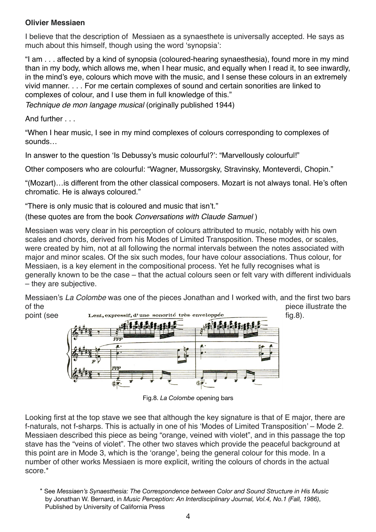## **Olivier Messiaen**

I believe that the description of Messiaen as a synaesthete is universally accepted. He says as much about this himself, though using the word 'synopsia':

"I am . . . affected by a kind of synopsia (coloured-hearing synaesthesia), found more in my mind than in my body, which allows me, when I hear music, and equally when I read it, to see inwardly, in the mind's eye, colours which move with the music, and I sense these colours in an extremely vivid manner. . . . For me certain complexes of sound and certain sonorities are linked to complexes of colour, and I use them in full knowledge of this."

*Technique de mon langage musical* (originally published 1944)

And further . . .

"When I hear music, I see in my mind complexes of colours corresponding to complexes of sounds…

In answer to the question 'Is Debussy's music colourful?': "Marvellously colourful!"

Other composers who are colourful: "Wagner, Mussorgsky, Stravinsky, Monteverdi, Chopin."

"(Mozart)…is different from the other classical composers. Mozart is not always tonal. He's often chromatic. He is always coloured."

"There is only music that is coloured and music that isn't."

(these quotes are from the book *Conversations with Claude Samuel* )

Messiaen was very clear in his perception of colours attributed to music, notably with his own scales and chords, derived from his Modes of Limited Transposition. These modes, or scales, were created by him, not at all following the normal intervals between the notes associated with major and minor scales. Of the six such modes, four have colour associations. Thus colour, for Messiaen, is a key element in the compositional process. Yet he fully recognises what is generally known to be the case – that the actual colours seen or felt vary with different individuals – they are subjective.

Messiaen's *La Colombe* was one of the pieces Jonathan and I worked with, and the first two bars of the piece illustrate the



Fig.8. *La Colombe* opening bars

Looking first at the top stave we see that although the key signature is that of E major, there are f-naturals, not f-sharps. This is actually in one of his 'Modes of Limited Transposition' – Mode 2. Messiaen described this piece as being "orange, veined with violet", and in this passage the top stave has the "veins of violet". The other two staves which provide the peaceful background at this point are in Mode 3, which is the 'orange', being the general colour for this mode. In a number of other works Messiaen is more explicit, writing the colours of chords in the actual score.\*

<sup>\*</sup> See *Messiaen's Synaesthesia: The Correspondence between Color and Sound Structure in His Music* by Jonathan W. Bernard, in *Music Perception: An Interdisciplinary Journal, Vol.4, No.1 (Fall, 1986)*, Published by University of California Press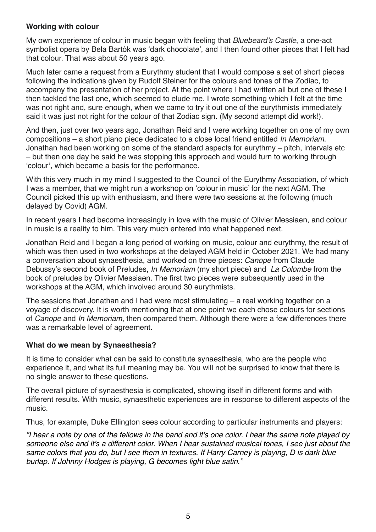### **Working with colour**

My own experience of colour in music began with feeling that *Bluebeard's Castle*, a one-act symbolist opera by Bela Bartók was 'dark chocolate', and I then found other pieces that I felt had that colour. That was about 50 years ago.

Much later came a request from a Eurythmy student that I would compose a set of short pieces following the indications given by Rudolf Steiner for the colours and tones of the Zodiac, to accompany the presentation of her project. At the point where I had written all but one of these I then tackled the last one, which seemed to elude me. I wrote something which I felt at the time was not right and, sure enough, when we came to try it out one of the eurythmists immediately said it was just not right for the colour of that Zodiac sign. (My second attempt did work!).

And then, just over two years ago, Jonathan Reid and I were working together on one of my own compositions – a short piano piece dedicated to a close local friend entitled *In Memoriam*. Jonathan had been working on some of the standard aspects for eurythmy – pitch, intervals etc – but then one day he said he was stopping this approach and would turn to working through 'colour', which became a basis for the performance.

With this very much in my mind I suggested to the Council of the Eurythmy Association, of which I was a member, that we might run a workshop on 'colour in music' for the next AGM. The Council picked this up with enthusiasm, and there were two sessions at the following (much delayed by Covid) AGM.

In recent years I had become increasingly in love with the music of Olivier Messiaen, and colour in music is a reality to him. This very much entered into what happened next.

Jonathan Reid and I began a long period of working on music, colour and eurythmy, the result of which was then used in two workshops at the delayed AGM held in October 2021. We had many a conversation about synaesthesia, and worked on three pieces: *Canope* from Claude Debussy's second book of Preludes, *In Memoriam* (my short piece) and *La Colombe* from the book of preludes by Olivier Messiaen. The first two pieces were subsequently used in the workshops at the AGM, which involved around 30 eurythmists.

The sessions that Jonathan and I had were most stimulating – a real working together on a voyage of discovery. It is worth mentioning that at one point we each chose colours for sections of *Canope* and *In Memoriam*, then compared them. Although there were a few differences there was a remarkable level of agreement.

## **What do we mean by Synaesthesia?**

It is time to consider what can be said to constitute synaesthesia, who are the people who experience it, and what its full meaning may be. You will not be surprised to know that there is no single answer to these questions.

The overall picture of synaesthesia is complicated, showing itself in different forms and with different results. With music, synaesthetic experiences are in response to different aspects of the music.

Thus, for example, Duke Ellington sees colour according to particular instruments and players:

*"I hear a note by one of the fellows in the band and it's one color. I hear the same note played by someone else and it's a different color. When I hear sustained musical tones, I see just about the same colors that you do, but I see them in textures. If Harry Carney is playing, D is dark blue burlap. If Johnny Hodges is playing, G becomes light blue satin."*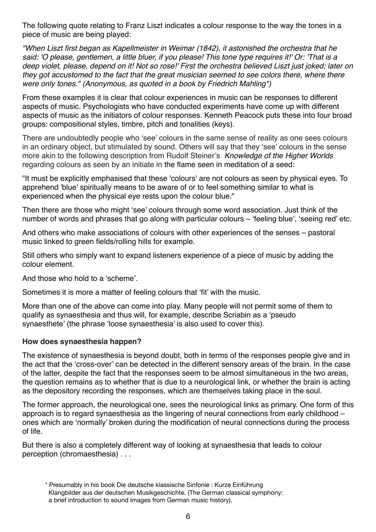The following quote relating to Franz Liszt indicates a colour response to the way the tones in a piece of music are being played:

*"When Liszt first began as Kapellmeister in Weimar (1842), it astonished the orchestra that he said: 'O please, gentlemen, a little bluer, if you please! This tone type requires it!' Or: 'That is a deep violet, please, depend on it! Not so rose!' First the orchestra believed Liszt just joked; later on they got accustomed to the fact that the great musician seemed to see colors there, where there were only tones." (Anonymous, as quoted in a book by Friedrich Mahling\*)*

From these examples it is clear that colour experiences in music can be responses to different aspects of music. Psychologists who have conducted experiments have come up with different aspects of music as the initiators of colour responses. Kenneth Peacock puts these into four broad groups: compositional styles, timbre, pitch and tonalities (keys).

There are undoubtedly people who 'see' colours in the same sense of reality as one sees colours in an ordinary object, but stimulated by sound. Others will say that they 'see' colours in the sense more akin to the following description from Rudolf Steiner's *Knowledge of the Higher Worlds* regarding colours as seen by an initiate in the flame seen in meditation of a seed:

"It must be explicitly emphasised that these 'colours' are not colours as seen by physical eyes. To apprehend 'blue' spiritually means to be aware of or to feel something similar to what is experienced when the physical eye rests upon the colour blue."

Then there are those who might 'see' colours through some word association. Just think of the number of words and phrases that go along with particular colours – 'feeling blue', 'seeing red' etc.

And others who make associations of colours with other experiences of the senses – pastoral music linked to green fields/rolling hills for example.

Still others who simply want to expand listeners experience of a piece of music by adding the colour element.

And those who hold to a 'scheme'.

Sometimes it is more a matter of feeling colours that 'fit' with the music.

More than one of the above can come into play. Many people will not permit some of them to qualify as synaesthesia and thus will, for example, describe Scriabin as a 'pseudo synaesthete' (the phrase 'loose synaesthesia' is also used to cover this).

#### **How does synaesthesia happen?**

The existence of synaesthesia is beyond doubt, both in terms of the responses people give and in the act that the 'cross-over' can be detected in the different sensory areas of the brain. In the case of the latter, despite the fact that the responses seem to be almost simultaneous in the two areas, the question remains as to whether that is due to a neurological link, or whether the brain is acting as the depository recording the responses, which are themselves taking place in the soul.

The former approach, the neurological one, sees the neurological links as primary. One form of this approach is to regard synaesthesia as the lingering of neural connections from early childhood – ones which are 'normally' broken during the modification of neural connections during the process of life.

But there is also a completely different way of looking at synaesthesia that leads to colour perception (chromaesthesia) . . .

<sup>\*</sup> Presumably in his book Die deutsche klassische Sinfonie : Kurze Einführung Klangbilder aus der deutschen Musikgeschichte. (The German classical symphony: a brief introduction to sound images from German music history).